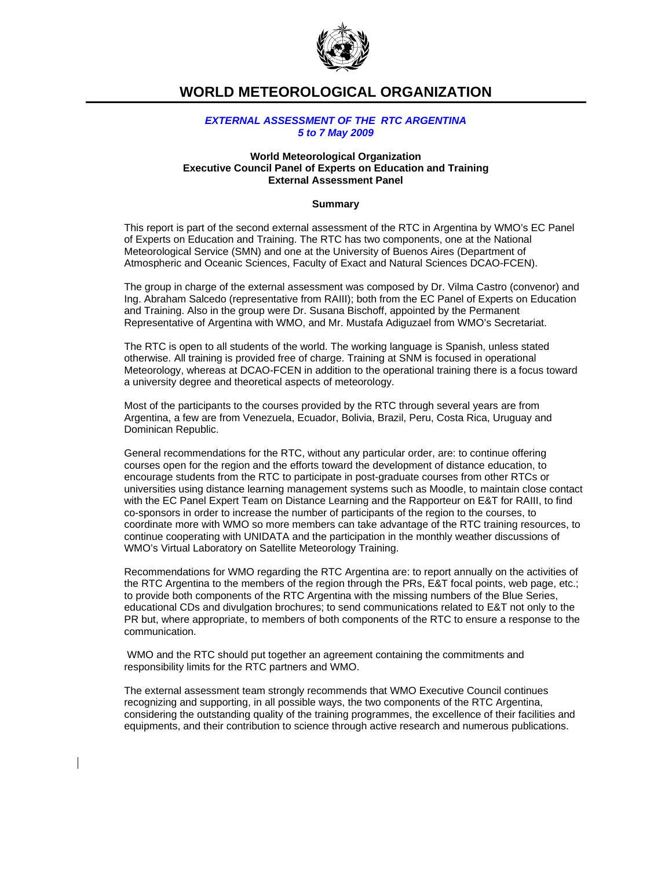

# **WORLD METEOROLOGICAL ORGANIZATION**

# *EXTERNAL ASSESSMENT OF THE RTC ARGENTINA 5 to 7 May 2009*

### **World Meteorological Organization Executive Council Panel of Experts on Education and Training External Assessment Panel**

## **Summary**

This report is part of the second external assessment of the RTC in Argentina by WMO's EC Panel of Experts on Education and Training. The RTC has two components, one at the National Meteorological Service (SMN) and one at the University of Buenos Aires (Department of Atmospheric and Oceanic Sciences, Faculty of Exact and Natural Sciences DCAO-FCEN).

The group in charge of the external assessment was composed by Dr. Vilma Castro (convenor) and Ing. Abraham Salcedo (representative from RAIII); both from the EC Panel of Experts on Education and Training. Also in the group were Dr. Susana Bischoff, appointed by the Permanent Representative of Argentina with WMO, and Mr. Mustafa Adiguzael from WMO's Secretariat.

The RTC is open to all students of the world. The working language is Spanish, unless stated otherwise. All training is provided free of charge. Training at SNM is focused in operational Meteorology, whereas at DCAO-FCEN in addition to the operational training there is a focus toward a university degree and theoretical aspects of meteorology.

Most of the participants to the courses provided by the RTC through several years are from Argentina, a few are from Venezuela, Ecuador, Bolivia, Brazil, Peru, Costa Rica, Uruguay and Dominican Republic.

General recommendations for the RTC, without any particular order, are: to continue offering courses open for the region and the efforts toward the development of distance education, to encourage students from the RTC to participate in post-graduate courses from other RTCs or universities using distance learning management systems such as Moodle, to maintain close contact with the EC Panel Expert Team on Distance Learning and the Rapporteur on E&T for RAIII, to find co-sponsors in order to increase the number of participants of the region to the courses, to coordinate more with WMO so more members can take advantage of the RTC training resources, to continue cooperating with UNIDATA and the participation in the monthly weather discussions of WMO's Virtual Laboratory on Satellite Meteorology Training.

Recommendations for WMO regarding the RTC Argentina are: to report annually on the activities of the RTC Argentina to the members of the region through the PRs, E&T focal points, web page, etc.; to provide both components of the RTC Argentina with the missing numbers of the Blue Series, educational CDs and divulgation brochures; to send communications related to E&T not only to the PR but, where appropriate, to members of both components of the RTC to ensure a response to the communication.

 WMO and the RTC should put together an agreement containing the commitments and responsibility limits for the RTC partners and WMO.

The external assessment team strongly recommends that WMO Executive Council continues recognizing and supporting, in all possible ways, the two components of the RTC Argentina, considering the outstanding quality of the training programmes, the excellence of their facilities and equipments, and their contribution to science through active research and numerous publications.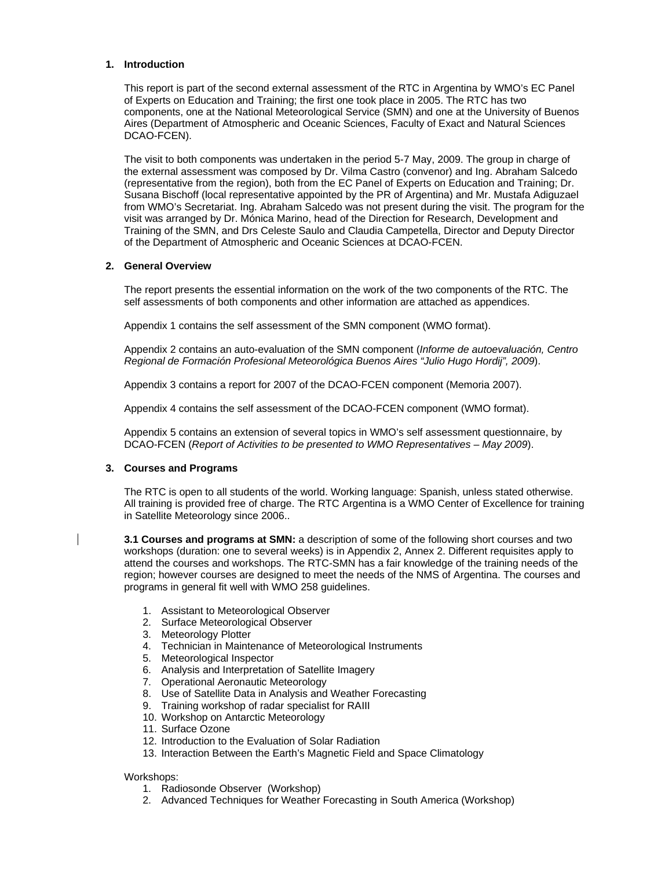## **1. Introduction**

This report is part of the second external assessment of the RTC in Argentina by WMO's EC Panel of Experts on Education and Training; the first one took place in 2005. The RTC has two components, one at the National Meteorological Service (SMN) and one at the University of Buenos Aires (Department of Atmospheric and Oceanic Sciences, Faculty of Exact and Natural Sciences DCAO-FCEN).

The visit to both components was undertaken in the period 5-7 May, 2009. The group in charge of the external assessment was composed by Dr. Vilma Castro (convenor) and Ing. Abraham Salcedo (representative from the region), both from the EC Panel of Experts on Education and Training; Dr. Susana Bischoff (local representative appointed by the PR of Argentina) and Mr. Mustafa Adiguzael from WMO's Secretariat. Ing. Abraham Salcedo was not present during the visit. The program for the visit was arranged by Dr. Mónica Marino, head of the Direction for Research, Development and Training of the SMN, and Drs Celeste Saulo and Claudia Campetella, Director and Deputy Director of the Department of Atmospheric and Oceanic Sciences at DCAO-FCEN.

# **2. General Overview**

The report presents the essential information on the work of the two components of the RTC. The self assessments of both components and other information are attached as appendices.

Appendix 1 contains the self assessment of the SMN component (WMO format).

Appendix 2 contains an auto-evaluation of the SMN component (*Informe de autoevaluación, Centro Regional de Formación Profesional Meteorológica Buenos Aires "Julio Hugo Hordij", 2009*).

Appendix 3 contains a report for 2007 of the DCAO-FCEN component (Memoria 2007).

Appendix 4 contains the self assessment of the DCAO-FCEN component (WMO format).

Appendix 5 contains an extension of several topics in WMO's self assessment questionnaire, by DCAO-FCEN (*Report of Activities to be presented to WMO Representatives – May 2009*).

# **3. Courses and Programs**

The RTC is open to all students of the world. Working language: Spanish, unless stated otherwise. All training is provided free of charge. The RTC Argentina is a WMO Center of Excellence for training in Satellite Meteorology since 2006..

**3.1 Courses and programs at SMN:** a description of some of the following short courses and two workshops (duration: one to several weeks) is in Appendix 2, Annex 2. Different requisites apply to attend the courses and workshops. The RTC-SMN has a fair knowledge of the training needs of the region; however courses are designed to meet the needs of the NMS of Argentina. The courses and programs in general fit well with WMO 258 guidelines.

- 1. Assistant to Meteorological Observer
- 2. Surface Meteorological Observer
- 3. Meteorology Plotter
- 4. Technician in Maintenance of Meteorological Instruments
- 5. Meteorological Inspector
- 6. Analysis and Interpretation of Satellite Imagery
- 7. Operational Aeronautic Meteorology
- 8. Use of Satellite Data in Analysis and Weather Forecasting
- 9. Training workshop of radar specialist for RAIII
- 10. Workshop on Antarctic Meteorology
- 11. Surface Ozone
- 12. Introduction to the Evaluation of Solar Radiation
- 13. Interaction Between the Earth's Magnetic Field and Space Climatology

## Workshops:

- 1. Radiosonde Observer (Workshop)
- 2. Advanced Techniques for Weather Forecasting in South America (Workshop)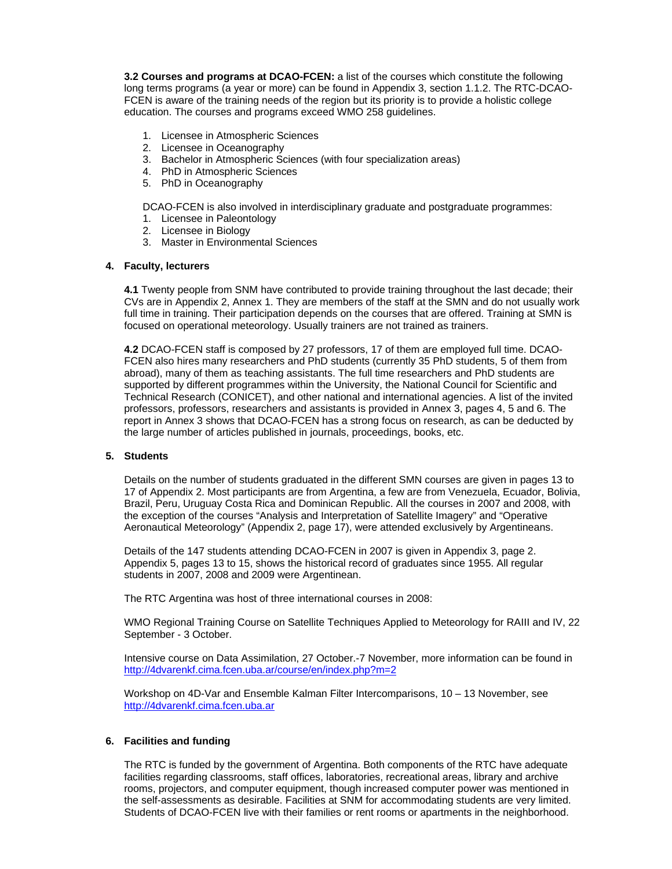**3.2 Courses and programs at DCAO-FCEN:** a list of the courses which constitute the following long terms programs (a year or more) can be found in Appendix 3, section 1.1.2. The RTC-DCAO-FCEN is aware of the training needs of the region but its priority is to provide a holistic college education. The courses and programs exceed WMO 258 guidelines.

- 1. Licensee in Atmospheric Sciences
- 2. Licensee in Oceanography
- 3. Bachelor in Atmospheric Sciences (with four specialization areas)
- 4. PhD in Atmospheric Sciences
- 5. PhD in Oceanography

DCAO-FCEN is also involved in interdisciplinary graduate and postgraduate programmes:

- 1. Licensee in Paleontology
- 2. Licensee in Biology
- 3. Master in Environmental Sciences

#### **4. Faculty, lecturers**

**4.1** Twenty people from SNM have contributed to provide training throughout the last decade; their CVs are in Appendix 2, Annex 1. They are members of the staff at the SMN and do not usually work full time in training. Their participation depends on the courses that are offered. Training at SMN is focused on operational meteorology. Usually trainers are not trained as trainers.

**4.2** DCAO-FCEN staff is composed by 27 professors, 17 of them are employed full time. DCAO-FCEN also hires many researchers and PhD students (currently 35 PhD students, 5 of them from abroad), many of them as teaching assistants. The full time researchers and PhD students are supported by different programmes within the University, the National Council for Scientific and Technical Research (CONICET), and other national and international agencies. A list of the invited professors, professors, researchers and assistants is provided in Annex 3, pages 4, 5 and 6. The report in Annex 3 shows that DCAO-FCEN has a strong focus on research, as can be deducted by the large number of articles published in journals, proceedings, books, etc.

## **5. Students**

Details on the number of students graduated in the different SMN courses are given in pages 13 to 17 of Appendix 2. Most participants are from Argentina, a few are from Venezuela, Ecuador, Bolivia, Brazil, Peru, Uruguay Costa Rica and Dominican Republic. All the courses in 2007 and 2008, with the exception of the courses "Analysis and Interpretation of Satellite Imagery" and "Operative Aeronautical Meteorology" (Appendix 2, page 17), were attended exclusively by Argentineans.

Details of the 147 students attending DCAO-FCEN in 2007 is given in Appendix 3, page 2. Appendix 5, pages 13 to 15, shows the historical record of graduates since 1955. All regular students in 2007, 2008 and 2009 were Argentinean.

The RTC Argentina was host of three international courses in 2008:

WMO Regional Training Course on Satellite Techniques Applied to Meteorology for RAIII and IV, 22 September - 3 October.

Intensive course on Data Assimilation, 27 October.-7 November, more information can be found in http://4dvarenkf.cima.fcen.uba.ar/course/en/index.php?m=2

Workshop on 4D-Var and Ensemble Kalman Filter Intercomparisons, 10 – 13 November, see http://4dvarenkf.cima.fcen.uba.ar

# **6. Facilities and funding**

The RTC is funded by the government of Argentina. Both components of the RTC have adequate facilities regarding classrooms, staff offices, laboratories, recreational areas, library and archive rooms, projectors, and computer equipment, though increased computer power was mentioned in the self-assessments as desirable. Facilities at SNM for accommodating students are very limited. Students of DCAO-FCEN live with their families or rent rooms or apartments in the neighborhood.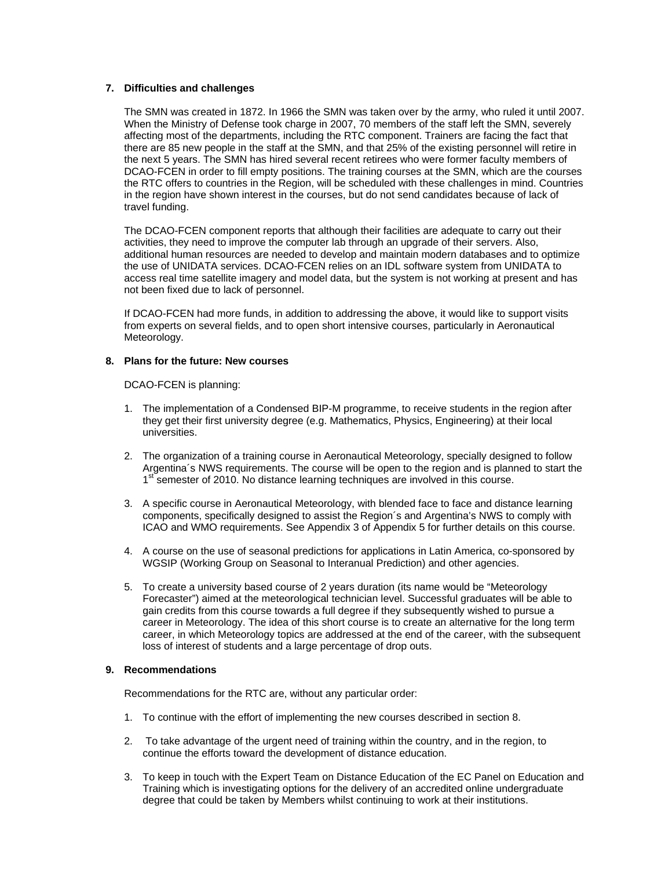## **7. Difficulties and challenges**

The SMN was created in 1872. In 1966 the SMN was taken over by the army, who ruled it until 2007. When the Ministry of Defense took charge in 2007, 70 members of the staff left the SMN, severely affecting most of the departments, including the RTC component. Trainers are facing the fact that there are 85 new people in the staff at the SMN, and that 25% of the existing personnel will retire in the next 5 years. The SMN has hired several recent retirees who were former faculty members of DCAO-FCEN in order to fill empty positions. The training courses at the SMN, which are the courses the RTC offers to countries in the Region, will be scheduled with these challenges in mind. Countries in the region have shown interest in the courses, but do not send candidates because of lack of travel funding.

The DCAO-FCEN component reports that although their facilities are adequate to carry out their activities, they need to improve the computer lab through an upgrade of their servers. Also, additional human resources are needed to develop and maintain modern databases and to optimize the use of UNIDATA services. DCAO-FCEN relies on an IDL software system from UNIDATA to access real time satellite imagery and model data, but the system is not working at present and has not been fixed due to lack of personnel.

If DCAO-FCEN had more funds, in addition to addressing the above, it would like to support visits from experts on several fields, and to open short intensive courses, particularly in Aeronautical Meteorology.

# **8. Plans for the future: New courses**

DCAO-FCEN is planning:

- 1. The implementation of a Condensed BIP-M programme, to receive students in the region after they get their first university degree (e.g. Mathematics, Physics, Engineering) at their local universities.
- 2. The organization of a training course in Aeronautical Meteorology, specially designed to follow Argentina´s NWS requirements. The course will be open to the region and is planned to start the 1st semester of 2010. No distance learning techniques are involved in this course.
- 3. A specific course in Aeronautical Meteorology, with blended face to face and distance learning components, specifically designed to assist the Region´s and Argentina's NWS to comply with ICAO and WMO requirements. See Appendix 3 of Appendix 5 for further details on this course.
- 4. A course on the use of seasonal predictions for applications in Latin America, co-sponsored by WGSIP (Working Group on Seasonal to Interanual Prediction) and other agencies.
- 5. To create a university based course of 2 years duration (its name would be "Meteorology Forecaster") aimed at the meteorological technician level. Successful graduates will be able to gain credits from this course towards a full degree if they subsequently wished to pursue a career in Meteorology. The idea of this short course is to create an alternative for the long term career, in which Meteorology topics are addressed at the end of the career, with the subsequent loss of interest of students and a large percentage of drop outs.

## **9. Recommendations**

Recommendations for the RTC are, without any particular order:

- 1. To continue with the effort of implementing the new courses described in section 8.
- 2. To take advantage of the urgent need of training within the country, and in the region, to continue the efforts toward the development of distance education.
- 3. To keep in touch with the Expert Team on Distance Education of the EC Panel on Education and Training which is investigating options for the delivery of an accredited online undergraduate degree that could be taken by Members whilst continuing to work at their institutions.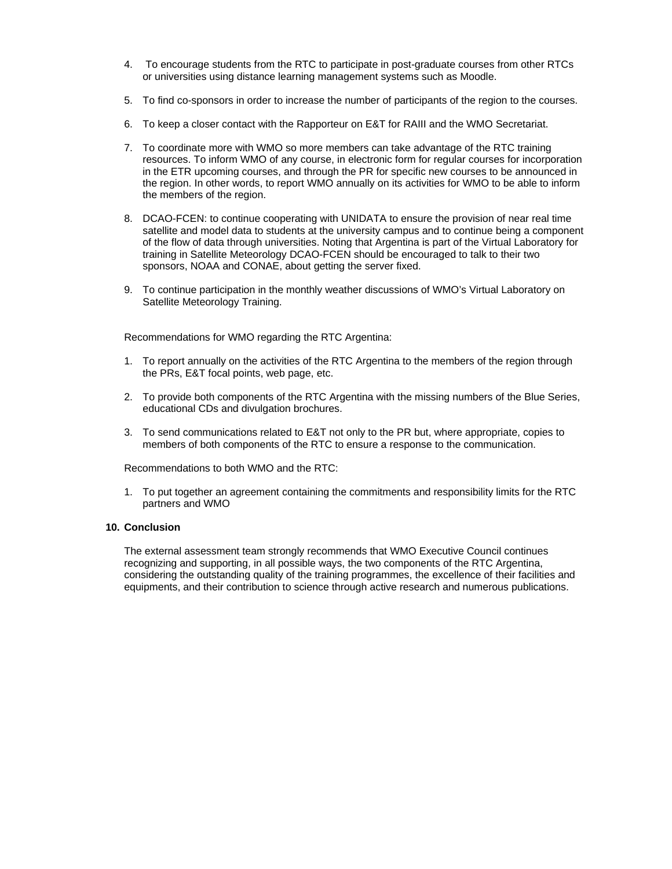- 4. To encourage students from the RTC to participate in post-graduate courses from other RTCs or universities using distance learning management systems such as Moodle.
- 5. To find co-sponsors in order to increase the number of participants of the region to the courses.
- 6. To keep a closer contact with the Rapporteur on E&T for RAIII and the WMO Secretariat.
- 7. To coordinate more with WMO so more members can take advantage of the RTC training resources. To inform WMO of any course, in electronic form for regular courses for incorporation in the ETR upcoming courses, and through the PR for specific new courses to be announced in the region. In other words, to report WMO annually on its activities for WMO to be able to inform the members of the region.
- 8. DCAO-FCEN: to continue cooperating with UNIDATA to ensure the provision of near real time satellite and model data to students at the university campus and to continue being a component of the flow of data through universities. Noting that Argentina is part of the Virtual Laboratory for training in Satellite Meteorology DCAO-FCEN should be encouraged to talk to their two sponsors, NOAA and CONAE, about getting the server fixed.
- 9. To continue participation in the monthly weather discussions of WMO's Virtual Laboratory on Satellite Meteorology Training.

Recommendations for WMO regarding the RTC Argentina:

- 1. To report annually on the activities of the RTC Argentina to the members of the region through the PRs, E&T focal points, web page, etc.
- 2. To provide both components of the RTC Argentina with the missing numbers of the Blue Series, educational CDs and divulgation brochures.
- 3. To send communications related to E&T not only to the PR but, where appropriate, copies to members of both components of the RTC to ensure a response to the communication.

Recommendations to both WMO and the RTC:

1. To put together an agreement containing the commitments and responsibility limits for the RTC partners and WMO

## **10. Conclusion**

The external assessment team strongly recommends that WMO Executive Council continues recognizing and supporting, in all possible ways, the two components of the RTC Argentina, considering the outstanding quality of the training programmes, the excellence of their facilities and equipments, and their contribution to science through active research and numerous publications.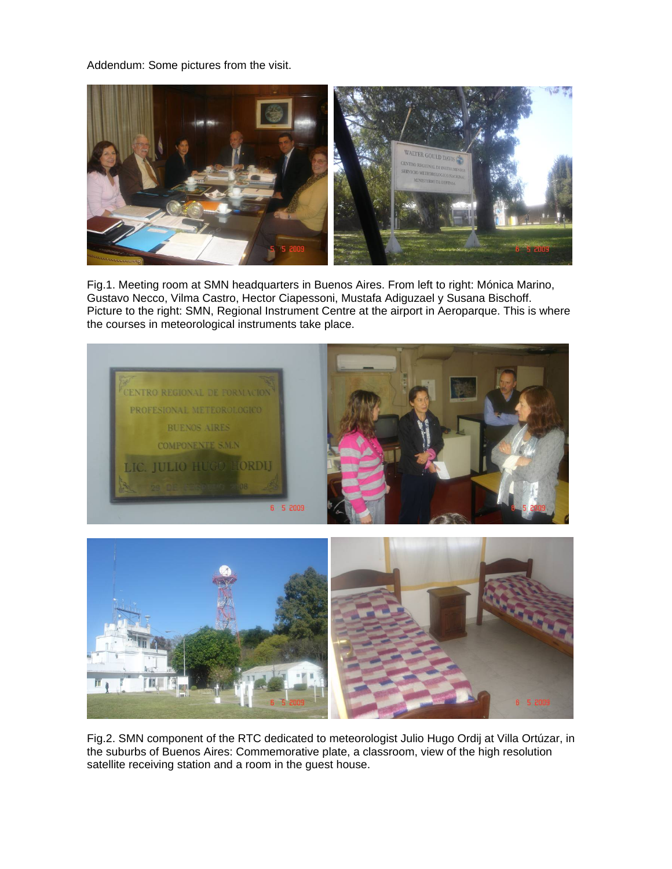Addendum: Some pictures from the visit.



Fig.1. Meeting room at SMN headquarters in Buenos Aires. From left to right: Mónica Marino, Gustavo Necco, Vilma Castro, Hector Ciapessoni, Mustafa Adiguzael y Susana Bischoff. Picture to the right: SMN, Regional Instrument Centre at the airport in Aeroparque. This is where the courses in meteorological instruments take place.



Fig.2. SMN component of the RTC dedicated to meteorologist Julio Hugo Ordij at Villa Ortúzar, in the suburbs of Buenos Aires: Commemorative plate, a classroom, view of the high resolution satellite receiving station and a room in the guest house.